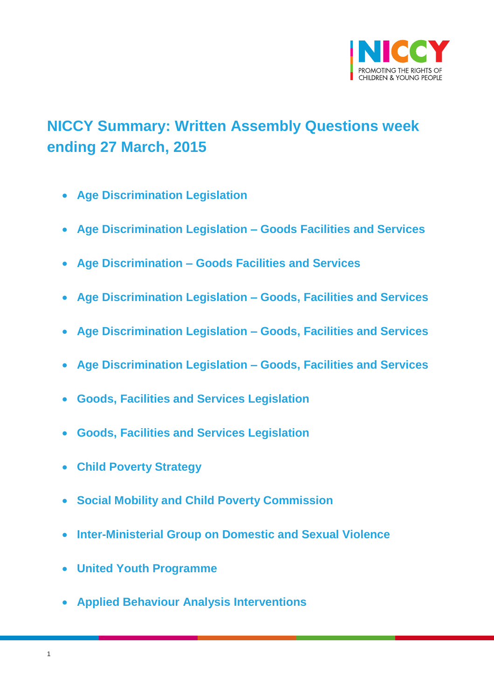

# <span id="page-0-0"></span>**NICCY Summary: Written Assembly Questions week ending 27 March, 2015**

- **[Age Discrimination Legislation](#page-3-0)**
- **[Age Discrimination Legislation –](#page-3-1) Goods Facilities and Services**
- **Age Discrimination – [Goods Facilities and Services](#page-4-0)**
- **[Age Discrimination Legislation –](#page-4-1) Goods, Facilities and Services**
- **[Age Discrimination Legislation –](#page-5-0) Goods, Facilities and Services**
- **[Age Discrimination Legislation –](#page-5-1) Goods, Facilities and Services**
- **[Goods, Facilities and Services Legislation](#page-6-0)**
- **[Goods, Facilities and Services Legislation](#page-6-1)**
- **[Child Poverty Strategy](#page-7-0)**
- **[Social Mobility and Child Poverty Commission](#page-7-1)**
- **[Inter-Ministerial Group on Domestic and Sexual Violence](#page-7-2)**
- **[United Youth Programme](#page-8-0)**
- **[Applied Behaviour Analysis Interventions](#page-10-0)**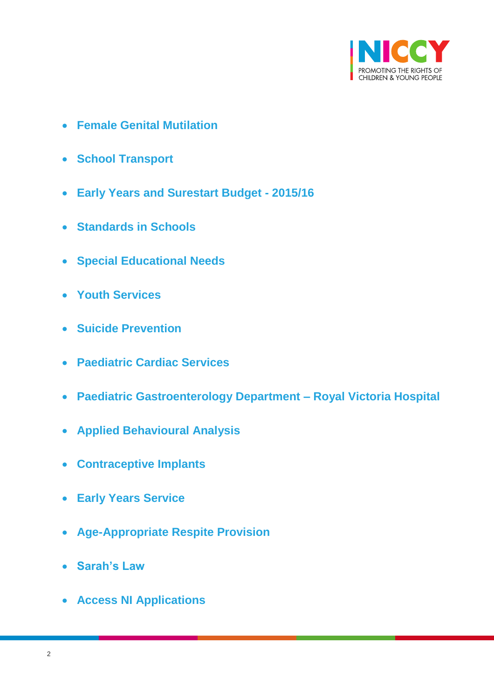

- **[Female Genital Mutilation](#page-10-1)**
- **[School Transport](#page-11-0)**
- **[Early Years and Surestart Budget -](#page-11-1) 2015/16**
- **[Standards in Schools](#page-12-0)**
- **[Special Educational Needs](#page-13-0)**
- **[Youth Services](#page-13-1)**
- **[Suicide Prevention](#page-14-0)**
- **[Paediatric Cardiac Services](#page-15-0)**
- **[Paediatric Gastroenterology Department –](#page-15-1) Royal Victoria Hospital**
- **[Applied Behavioural Analysis](#page-16-0)**
- **[Contraceptive Implants](#page-17-0)**
- **[Early Years Service](#page-18-0)**
- **[Age-Appropriate Respite Provision](#page-18-1)**
- **[Sarah's Law](#page-20-0)**
- **[Access NI Applications](#page-20-1)**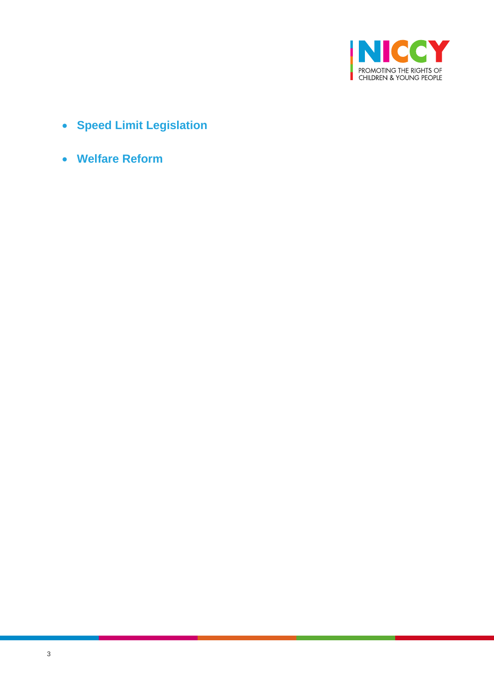

- **[Speed Limit Legislation](#page-22-0)**
- **[Welfare Reform](#page-23-0)**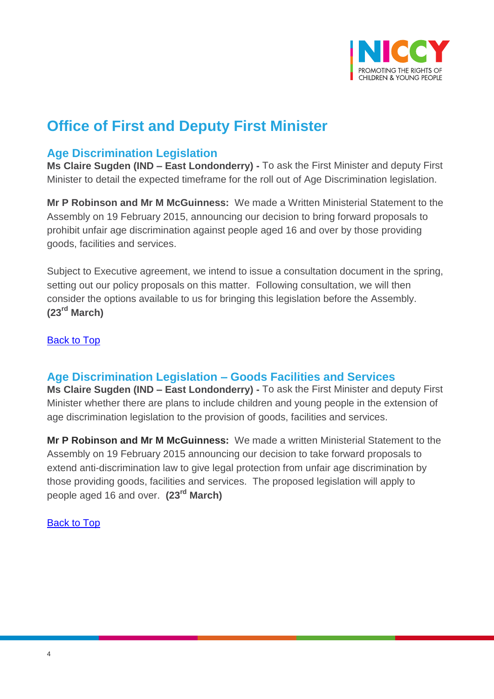

# **Office of First and Deputy First Minister**

## <span id="page-3-0"></span>**Age Discrimination Legislation**

**Ms Claire Sugden (IND – East Londonderry) -** To ask the First Minister and deputy First Minister to detail the expected timeframe for the roll out of Age Discrimination legislation.

**Mr P Robinson and Mr M McGuinness:** We made a Written Ministerial Statement to the Assembly on 19 February 2015, announcing our decision to bring forward proposals to prohibit unfair age discrimination against people aged 16 and over by those providing goods, facilities and services.

Subject to Executive agreement, we intend to issue a consultation document in the spring, setting out our policy proposals on this matter. Following consultation, we will then consider the options available to us for bringing this legislation before the Assembly. **(23rd March)**

[Back to Top](#page-0-0)

## <span id="page-3-1"></span>**Age Discrimination Legislation – Goods Facilities and Services**

**Ms Claire Sugden (IND – East Londonderry) -** To ask the First Minister and deputy First Minister whether there are plans to include children and young people in the extension of age discrimination legislation to the provision of goods, facilities and services.

**Mr P Robinson and Mr M McGuinness:** We made a written Ministerial Statement to the Assembly on 19 February 2015 announcing our decision to take forward proposals to extend anti-discrimination law to give legal protection from unfair age discrimination by those providing goods, facilities and services. The proposed legislation will apply to people aged 16 and over. **(23rd March)**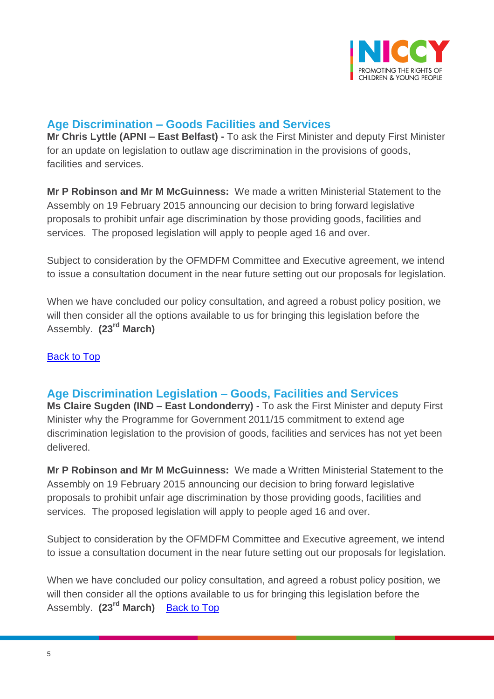

## <span id="page-4-0"></span>**Age Discrimination – Goods Facilities and Services**

**Mr Chris Lyttle (APNI – East Belfast) -** To ask the First Minister and deputy First Minister for an update on legislation to outlaw age discrimination in the provisions of goods, facilities and services.

**Mr P Robinson and Mr M McGuinness:** We made a written Ministerial Statement to the Assembly on 19 February 2015 announcing our decision to bring forward legislative proposals to prohibit unfair age discrimination by those providing goods, facilities and services. The proposed legislation will apply to people aged 16 and over.

Subject to consideration by the OFMDFM Committee and Executive agreement, we intend to issue a consultation document in the near future setting out our proposals for legislation.

When we have concluded our policy consultation, and agreed a robust policy position, we will then consider all the options available to us for bringing this legislation before the Assembly. **(23rd March)**

#### **[Back to Top](#page-0-0)**

## <span id="page-4-1"></span>**Age Discrimination Legislation – Goods, Facilities and Services**

**Ms Claire Sugden (IND – East Londonderry) -** To ask the First Minister and deputy First Minister why the Programme for Government 2011/15 commitment to extend age discrimination legislation to the provision of goods, facilities and services has not yet been delivered.

**Mr P Robinson and Mr M McGuinness:** We made a Written Ministerial Statement to the Assembly on 19 February 2015 announcing our decision to bring forward legislative proposals to prohibit unfair age discrimination by those providing goods, facilities and services. The proposed legislation will apply to people aged 16 and over.

Subject to consideration by the OFMDFM Committee and Executive agreement, we intend to issue a consultation document in the near future setting out our proposals for legislation.

When we have concluded our policy consultation, and agreed a robust policy position, we will then consider all the options available to us for bringing this legislation before the Assembly. **(23rd March)** [Back to Top](#page-0-0)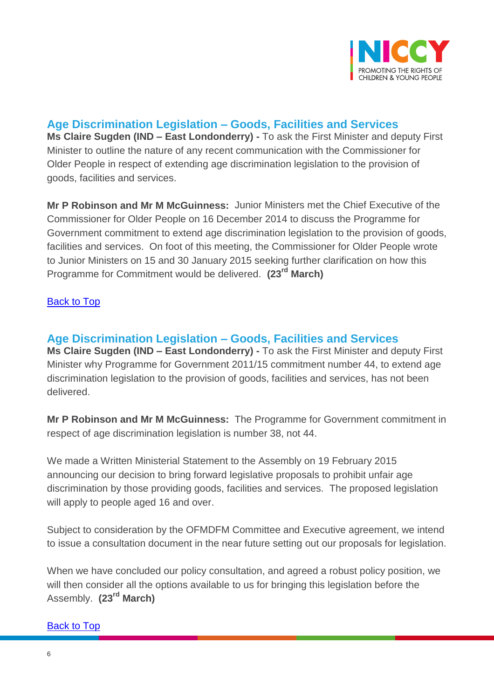

# <span id="page-5-0"></span>**Age Discrimination Legislation – Goods, Facilities and Services**

**Ms Claire Sugden (IND – East Londonderry) -** To ask the First Minister and deputy First Minister to outline the nature of any recent communication with the Commissioner for Older People in respect of extending age discrimination legislation to the provision of goods, facilities and services.

**Mr P Robinson and Mr M McGuinness:** Junior Ministers met the Chief Executive of the Commissioner for Older People on 16 December 2014 to discuss the Programme for Government commitment to extend age discrimination legislation to the provision of goods, facilities and services. On foot of this meeting, the Commissioner for Older People wrote to Junior Ministers on 15 and 30 January 2015 seeking further clarification on how this Programme for Commitment would be delivered. **(23rd March)**

#### [Back to Top](#page-0-0)

## <span id="page-5-1"></span>**Age Discrimination Legislation – Goods, Facilities and Services**

**Ms Claire Sugden (IND – East Londonderry) -** To ask the First Minister and deputy First Minister why Programme for Government 2011/15 commitment number 44, to extend age discrimination legislation to the provision of goods, facilities and services, has not been delivered.

**Mr P Robinson and Mr M McGuinness:** The Programme for Government commitment in respect of age discrimination legislation is number 38, not 44.

We made a Written Ministerial Statement to the Assembly on 19 February 2015 announcing our decision to bring forward legislative proposals to prohibit unfair age discrimination by those providing goods, facilities and services. The proposed legislation will apply to people aged 16 and over.

Subject to consideration by the OFMDFM Committee and Executive agreement, we intend to issue a consultation document in the near future setting out our proposals for legislation.

When we have concluded our policy consultation, and agreed a robust policy position, we will then consider all the options available to us for bringing this legislation before the Assembly. **(23rd March)**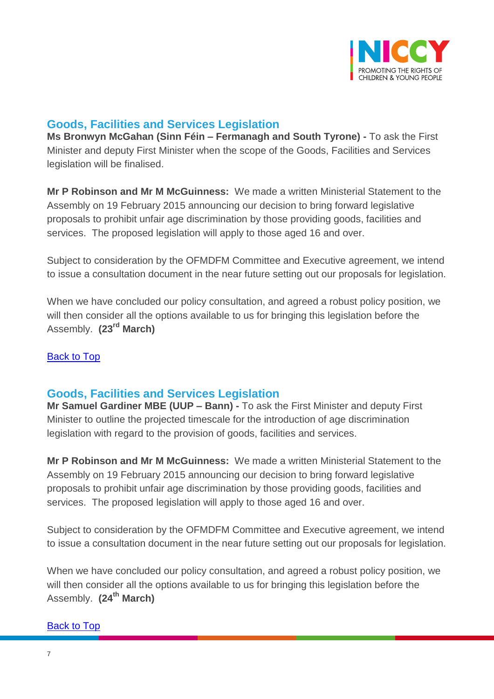

## <span id="page-6-0"></span>**Goods, Facilities and Services Legislation**

**Ms Bronwyn McGahan (Sinn Féin – Fermanagh and South Tyrone) -** To ask the First Minister and deputy First Minister when the scope of the Goods, Facilities and Services legislation will be finalised.

**Mr P Robinson and Mr M McGuinness:** We made a written Ministerial Statement to the Assembly on 19 February 2015 announcing our decision to bring forward legislative proposals to prohibit unfair age discrimination by those providing goods, facilities and services. The proposed legislation will apply to those aged 16 and over.

Subject to consideration by the OFMDFM Committee and Executive agreement, we intend to issue a consultation document in the near future setting out our proposals for legislation.

When we have concluded our policy consultation, and agreed a robust policy position, we will then consider all the options available to us for bringing this legislation before the Assembly. **(23rd March)**

#### **[Back to Top](#page-0-0)**

## <span id="page-6-1"></span>**Goods, Facilities and Services Legislation**

**Mr Samuel Gardiner MBE (UUP – Bann) -** To ask the First Minister and deputy First Minister to outline the projected timescale for the introduction of age discrimination legislation with regard to the provision of goods, facilities and services.

**Mr P Robinson and Mr M McGuinness:** We made a written Ministerial Statement to the Assembly on 19 February 2015 announcing our decision to bring forward legislative proposals to prohibit unfair age discrimination by those providing goods, facilities and services. The proposed legislation will apply to those aged 16 and over.

Subject to consideration by the OFMDFM Committee and Executive agreement, we intend to issue a consultation document in the near future setting out our proposals for legislation.

When we have concluded our policy consultation, and agreed a robust policy position, we will then consider all the options available to us for bringing this legislation before the Assembly. **(24th March)**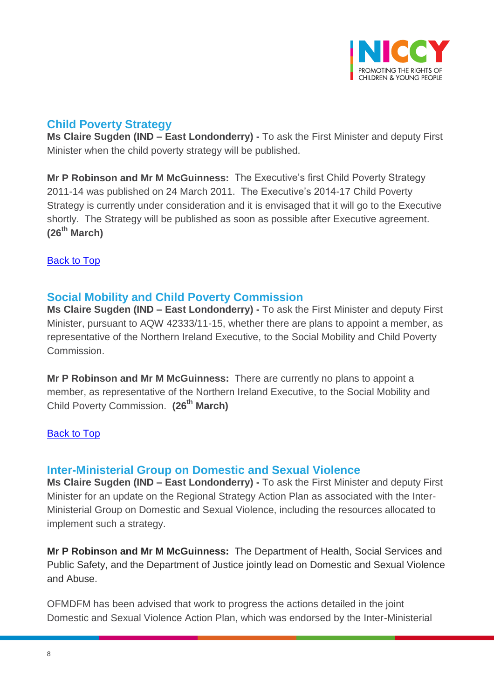

# <span id="page-7-0"></span>**Child Poverty Strategy**

**Ms Claire Sugden (IND – East Londonderry) -** To ask the First Minister and deputy First Minister when the child poverty strategy will be published.

**Mr P Robinson and Mr M McGuinness:** The Executive's first Child Poverty Strategy 2011-14 was published on 24 March 2011. The Executive's 2014-17 Child Poverty Strategy is currently under consideration and it is envisaged that it will go to the Executive shortly. The Strategy will be published as soon as possible after Executive agreement. **(26th March)**

[Back to Top](#page-0-0)

## <span id="page-7-1"></span>**Social Mobility and Child Poverty Commission**

**Ms Claire Sugden (IND – East Londonderry) -** To ask the First Minister and deputy First Minister, pursuant to AQW 42333/11-15, whether there are plans to appoint a member, as representative of the Northern Ireland Executive, to the Social Mobility and Child Poverty Commission.

**Mr P Robinson and Mr M McGuinness:** There are currently no plans to appoint a member, as representative of the Northern Ireland Executive, to the Social Mobility and Child Poverty Commission. **(26th March)**

[Back to Top](#page-0-0)

## <span id="page-7-2"></span>**Inter-Ministerial Group on Domestic and Sexual Violence**

**Ms Claire Sugden (IND – East Londonderry) -** To ask the First Minister and deputy First Minister for an update on the Regional Strategy Action Plan as associated with the Inter-Ministerial Group on Domestic and Sexual Violence, including the resources allocated to implement such a strategy.

**Mr P Robinson and Mr M McGuinness:** The Department of Health, Social Services and Public Safety, and the Department of Justice jointly lead on Domestic and Sexual Violence and Abuse.

OFMDFM has been advised that work to progress the actions detailed in the joint Domestic and Sexual Violence Action Plan, which was endorsed by the Inter-Ministerial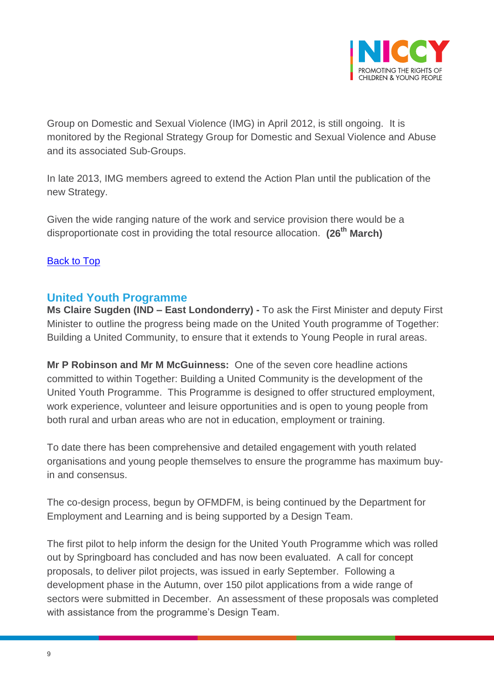

Group on Domestic and Sexual Violence (IMG) in April 2012, is still ongoing. It is monitored by the Regional Strategy Group for Domestic and Sexual Violence and Abuse and its associated Sub-Groups.

In late 2013, IMG members agreed to extend the Action Plan until the publication of the new Strategy.

Given the wide ranging nature of the work and service provision there would be a disproportionate cost in providing the total resource allocation. **(26th March)**

#### [Back to Top](#page-0-0)

## <span id="page-8-0"></span>**United Youth Programme**

**Ms Claire Sugden (IND – East Londonderry) -** To ask the First Minister and deputy First Minister to outline the progress being made on the United Youth programme of Together: Building a United Community, to ensure that it extends to Young People in rural areas.

**Mr P Robinson and Mr M McGuinness:** One of the seven core headline actions committed to within Together: Building a United Community is the development of the United Youth Programme. This Programme is designed to offer structured employment, work experience, volunteer and leisure opportunities and is open to young people from both rural and urban areas who are not in education, employment or training.

To date there has been comprehensive and detailed engagement with youth related organisations and young people themselves to ensure the programme has maximum buyin and consensus.

The co-design process, begun by OFMDFM, is being continued by the Department for Employment and Learning and is being supported by a Design Team.

The first pilot to help inform the design for the United Youth Programme which was rolled out by Springboard has concluded and has now been evaluated. A call for concept proposals, to deliver pilot projects, was issued in early September. Following a development phase in the Autumn, over 150 pilot applications from a wide range of sectors were submitted in December. An assessment of these proposals was completed with assistance from the programme's Design Team.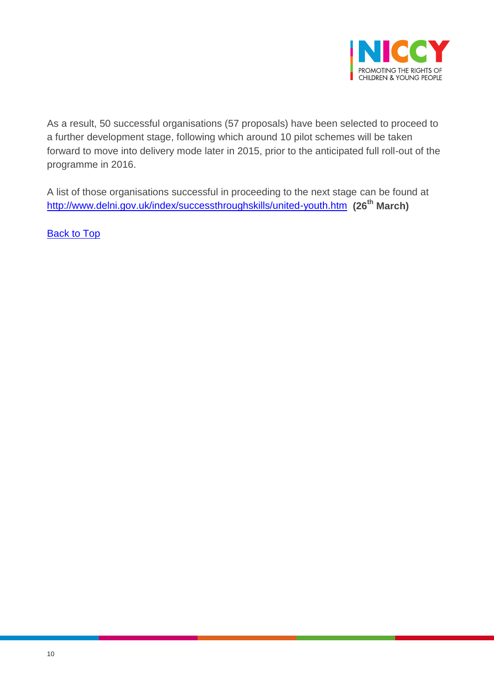

As a result, 50 successful organisations (57 proposals) have been selected to proceed to a further development stage, following which around 10 pilot schemes will be taken forward to move into delivery mode later in 2015, prior to the anticipated full roll-out of the programme in 2016.

A list of those organisations successful in proceeding to the next stage can be found at <http://www.delni.gov.uk/index/successthroughskills/united-youth.htm>**(26th March)**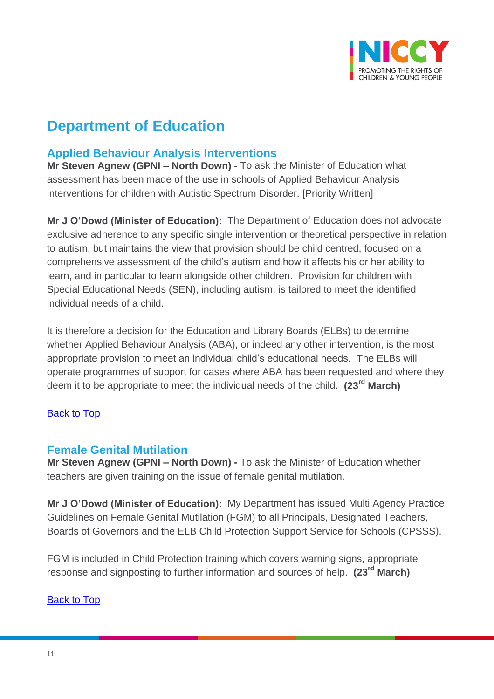

# **Department of Education**

# <span id="page-10-0"></span>**Applied Behaviour Analysis Interventions**

**Mr Steven Agnew (GPNI – North Down) -** To ask the Minister of Education what assessment has been made of the use in schools of Applied Behaviour Analysis interventions for children with Autistic Spectrum Disorder. [Priority Written]

**Mr J O'Dowd (Minister of Education):** The Department of Education does not advocate exclusive adherence to any specific single intervention or theoretical perspective in relation to autism, but maintains the view that provision should be child centred, focused on a comprehensive assessment of the child's autism and how it affects his or her ability to learn, and in particular to learn alongside other children. Provision for children with Special Educational Needs (SEN), including autism, is tailored to meet the identified individual needs of a child.

It is therefore a decision for the Education and Library Boards (ELBs) to determine whether Applied Behaviour Analysis (ABA), or indeed any other intervention, is the most appropriate provision to meet an individual child's educational needs. The ELBs will operate programmes of support for cases where ABA has been requested and where they deem it to be appropriate to meet the individual needs of the child. **(23rd March)**

#### [Back to Top](#page-0-0)

## <span id="page-10-1"></span>**Female Genital Mutilation**

**Mr Steven Agnew (GPNI – North Down) -** To ask the Minister of Education whether teachers are given training on the issue of female genital mutilation.

**Mr J O'Dowd (Minister of Education):** My Department has issued Multi Agency Practice Guidelines on Female Genital Mutilation (FGM) to all Principals, Designated Teachers, Boards of Governors and the ELB Child Protection Support Service for Schools (CPSSS).

FGM is included in Child Protection training which covers warning signs, appropriate response and signposting to further information and sources of help. **(23rd March)**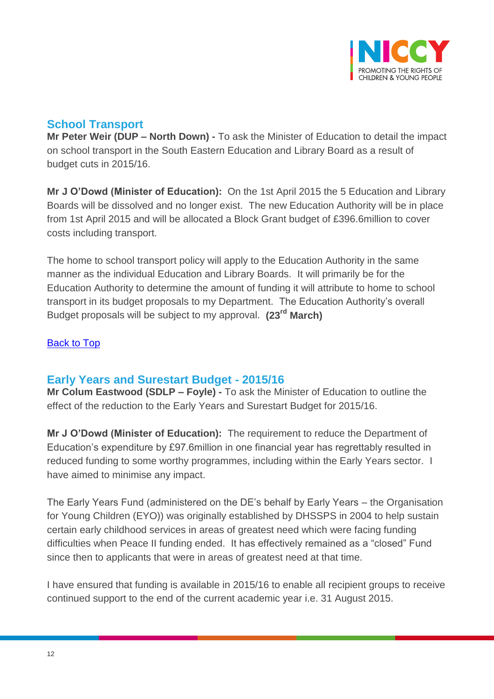

## <span id="page-11-0"></span>**School Transport**

**Mr Peter Weir (DUP – North Down) -** To ask the Minister of Education to detail the impact on school transport in the South Eastern Education and Library Board as a result of budget cuts in 2015/16.

**Mr J O'Dowd (Minister of Education):** On the 1st April 2015 the 5 Education and Library Boards will be dissolved and no longer exist. The new Education Authority will be in place from 1st April 2015 and will be allocated a Block Grant budget of £396.6million to cover costs including transport.

The home to school transport policy will apply to the Education Authority in the same manner as the individual Education and Library Boards. It will primarily be for the Education Authority to determine the amount of funding it will attribute to home to school transport in its budget proposals to my Department. The Education Authority's overall Budget proposals will be subject to my approval. **(23rd March)**

#### [Back to Top](#page-0-0)

## <span id="page-11-1"></span>**Early Years and Surestart Budget - 2015/16**

**Mr Colum Eastwood (SDLP – Foyle) -** To ask the Minister of Education to outline the effect of the reduction to the Early Years and Surestart Budget for 2015/16.

**Mr J O'Dowd (Minister of Education):** The requirement to reduce the Department of Education's expenditure by £97.6million in one financial year has regrettably resulted in reduced funding to some worthy programmes, including within the Early Years sector. I have aimed to minimise any impact.

The Early Years Fund (administered on the DE's behalf by Early Years – the Organisation for Young Children (EYO)) was originally established by DHSSPS in 2004 to help sustain certain early childhood services in areas of greatest need which were facing funding difficulties when Peace II funding ended. It has effectively remained as a "closed" Fund since then to applicants that were in areas of greatest need at that time.

I have ensured that funding is available in 2015/16 to enable all recipient groups to receive continued support to the end of the current academic year i.e. 31 August 2015.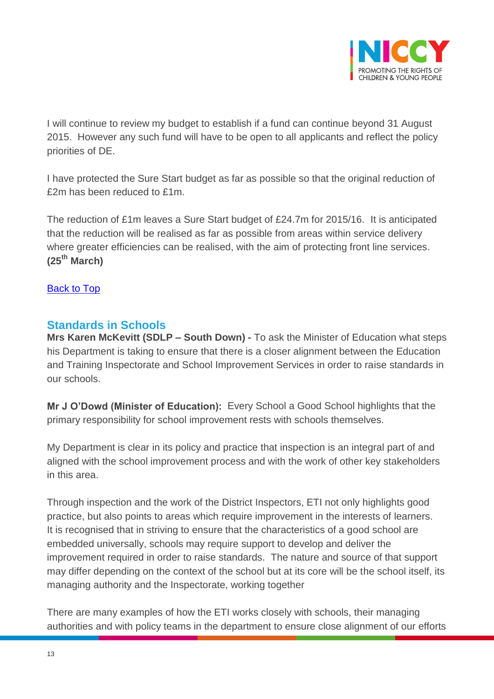

I will continue to review my budget to establish if a fund can continue beyond 31 August 2015. However any such fund will have to be open to all applicants and reflect the policy priorities of DE.

I have protected the Sure Start budget as far as possible so that the original reduction of £2m has been reduced to £1m.

The reduction of £1m leaves a Sure Start budget of £24.7m for 2015/16. It is anticipated that the reduction will be realised as far as possible from areas within service delivery where greater efficiencies can be realised, with the aim of protecting front line services. **(25th March)**

[Back to Top](#page-0-0)

## <span id="page-12-0"></span>**Standards in Schools**

**Mrs Karen McKevitt (SDLP – South Down) -** To ask the Minister of Education what steps his Department is taking to ensure that there is a closer alignment between the Education and Training Inspectorate and School Improvement Services in order to raise standards in our schools.

**Mr J O'Dowd (Minister of Education):** Every School a Good School highlights that the primary responsibility for school improvement rests with schools themselves.

My Department is clear in its policy and practice that inspection is an integral part of and aligned with the school improvement process and with the work of other key stakeholders in this area.

Through inspection and the work of the District Inspectors, ETI not only highlights good practice, but also points to areas which require improvement in the interests of learners. It is recognised that in striving to ensure that the characteristics of a good school are embedded universally, schools may require support to develop and deliver the improvement required in order to raise standards. The nature and source of that support may differ depending on the context of the school but at its core will be the school itself, its managing authority and the Inspectorate, working together

There are many examples of how the ETI works closely with schools, their managing authorities and with policy teams in the department to ensure close alignment of our efforts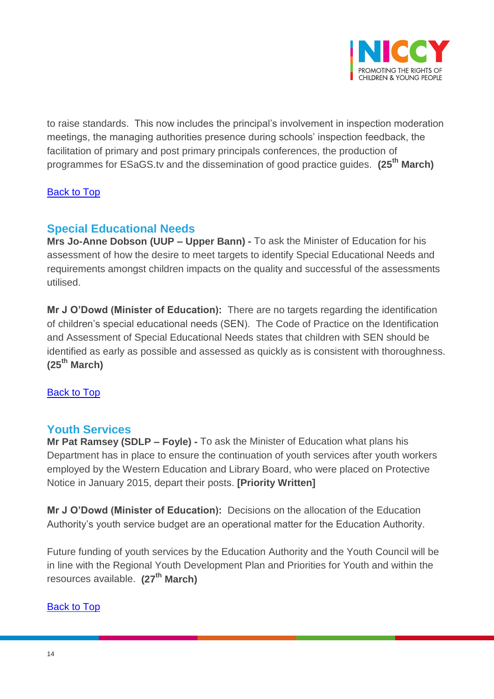

to raise standards. This now includes the principal's involvement in inspection moderation meetings, the managing authorities presence during schools' inspection feedback, the facilitation of primary and post primary principals conferences, the production of programmes for ESaGS.tv and the dissemination of good practice guides. **(25th March)**

#### [Back to Top](#page-0-0)

# <span id="page-13-0"></span>**Special Educational Needs**

**Mrs Jo-Anne Dobson (UUP – Upper Bann) -** To ask the Minister of Education for his assessment of how the desire to meet targets to identify Special Educational Needs and requirements amongst children impacts on the quality and successful of the assessments utilised.

**Mr J O'Dowd (Minister of Education):** There are no targets regarding the identification of children's special educational needs (SEN). The Code of Practice on the Identification and Assessment of Special Educational Needs states that children with SEN should be identified as early as possible and assessed as quickly as is consistent with thoroughness. **(25th March)**

#### [Back to Top](#page-0-0)

## <span id="page-13-1"></span>**Youth Services**

**Mr Pat Ramsey (SDLP – Foyle) -** To ask the Minister of Education what plans his Department has in place to ensure the continuation of youth services after youth workers employed by the Western Education and Library Board, who were placed on Protective Notice in January 2015, depart their posts. **[Priority Written]**

**Mr J O'Dowd (Minister of Education):** Decisions on the allocation of the Education Authority's youth service budget are an operational matter for the Education Authority.

Future funding of youth services by the Education Authority and the Youth Council will be in line with the Regional Youth Development Plan and Priorities for Youth and within the resources available. **(27th March)**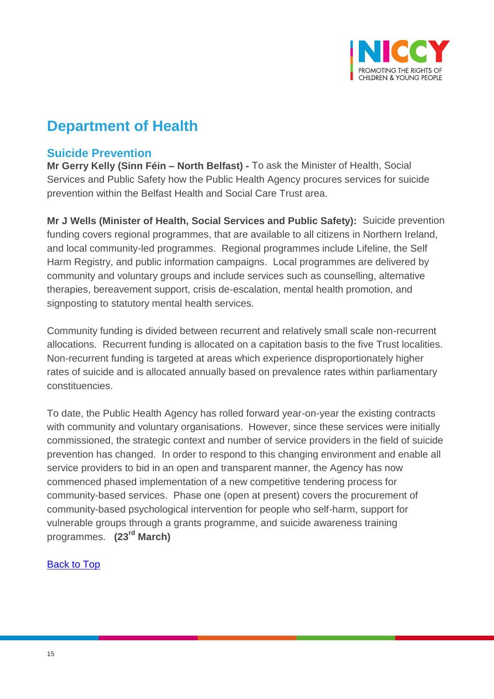

# **Department of Health**

## <span id="page-14-0"></span>**Suicide Prevention**

**Mr Gerry Kelly (Sinn Féin – North Belfast) -** To ask the Minister of Health, Social Services and Public Safety how the Public Health Agency procures services for suicide prevention within the Belfast Health and Social Care Trust area.

**Mr J Wells (Minister of Health, Social Services and Public Safety):** Suicide prevention funding covers regional programmes, that are available to all citizens in Northern Ireland, and local community-led programmes. Regional programmes include Lifeline, the Self Harm Registry, and public information campaigns. Local programmes are delivered by community and voluntary groups and include services such as counselling, alternative therapies, bereavement support, crisis de-escalation, mental health promotion, and signposting to statutory mental health services.

Community funding is divided between recurrent and relatively small scale non-recurrent allocations. Recurrent funding is allocated on a capitation basis to the five Trust localities. Non-recurrent funding is targeted at areas which experience disproportionately higher rates of suicide and is allocated annually based on prevalence rates within parliamentary constituencies.

To date, the Public Health Agency has rolled forward year-on-year the existing contracts with community and voluntary organisations. However, since these services were initially commissioned, the strategic context and number of service providers in the field of suicide prevention has changed. In order to respond to this changing environment and enable all service providers to bid in an open and transparent manner, the Agency has now commenced phased implementation of a new competitive tendering process for community-based services. Phase one (open at present) covers the procurement of community-based psychological intervention for people who self-harm, support for vulnerable groups through a grants programme, and suicide awareness training programmes. **(23rd March)**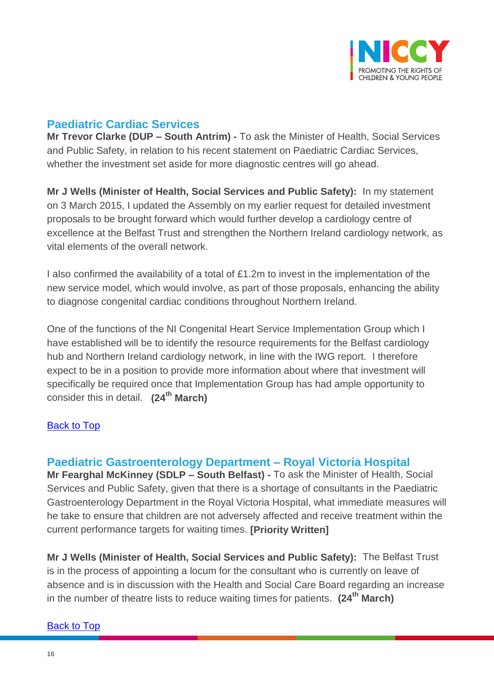

## <span id="page-15-0"></span>**Paediatric Cardiac Services**

**Mr Trevor Clarke (DUP – South Antrim) -** To ask the Minister of Health, Social Services and Public Safety, in relation to his recent statement on Paediatric Cardiac Services, whether the investment set aside for more diagnostic centres will go ahead.

**Mr J Wells (Minister of Health, Social Services and Public Safety):** In my statement on 3 March 2015, I updated the Assembly on my earlier request for detailed investment proposals to be brought forward which would further develop a cardiology centre of excellence at the Belfast Trust and strengthen the Northern Ireland cardiology network, as vital elements of the overall network.

I also confirmed the availability of a total of £1.2m to invest in the implementation of the new service model, which would involve, as part of those proposals, enhancing the ability to diagnose congenital cardiac conditions throughout Northern Ireland.

One of the functions of the NI Congenital Heart Service Implementation Group which I have established will be to identify the resource requirements for the Belfast cardiology hub and Northern Ireland cardiology network, in line with the IWG report. I therefore expect to be in a position to provide more information about where that investment will specifically be required once that Implementation Group has had ample opportunity to consider this in detail. **(24th March)**

#### [Back to Top](#page-0-0)

## <span id="page-15-1"></span>**Paediatric Gastroenterology Department – Royal Victoria Hospital**

**Mr Fearghal McKinney (SDLP – South Belfast) -** To ask the Minister of Health, Social Services and Public Safety, given that there is a shortage of consultants in the Paediatric Gastroenterology Department in the Royal Victoria Hospital, what immediate measures will he take to ensure that children are not adversely affected and receive treatment within the current performance targets for waiting times. **[Priority Written]**

**Mr J Wells (Minister of Health, Social Services and Public Safety):** The Belfast Trust is in the process of appointing a locum for the consultant who is currently on leave of absence and is in discussion with the Health and Social Care Board regarding an increase in the number of theatre lists to reduce waiting times for patients. **(24th March)**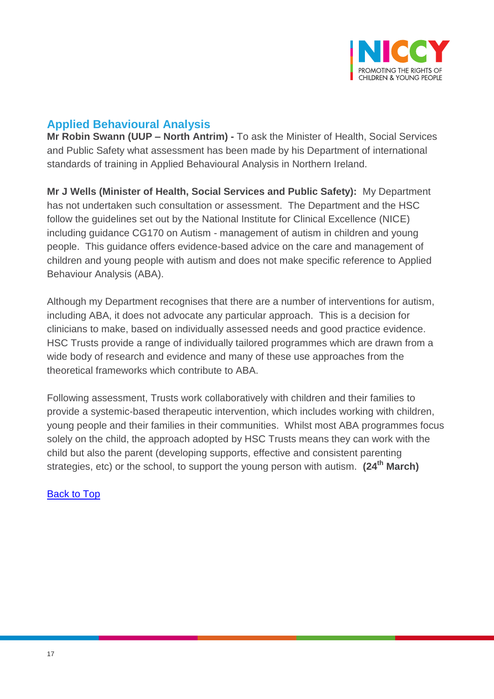

# <span id="page-16-0"></span>**Applied Behavioural Analysis**

**Mr Robin Swann (UUP – North Antrim) -** To ask the Minister of Health, Social Services and Public Safety what assessment has been made by his Department of international standards of training in Applied Behavioural Analysis in Northern Ireland.

**Mr J Wells (Minister of Health, Social Services and Public Safety):** My Department has not undertaken such consultation or assessment. The Department and the HSC follow the guidelines set out by the National Institute for Clinical Excellence (NICE) including guidance CG170 on Autism - management of autism in children and young people. This guidance offers evidence-based advice on the care and management of children and young people with autism and does not make specific reference to Applied Behaviour Analysis (ABA).

Although my Department recognises that there are a number of interventions for autism, including ABA, it does not advocate any particular approach. This is a decision for clinicians to make, based on individually assessed needs and good practice evidence. HSC Trusts provide a range of individually tailored programmes which are drawn from a wide body of research and evidence and many of these use approaches from the theoretical frameworks which contribute to ABA.

Following assessment, Trusts work collaboratively with children and their families to provide a systemic-based therapeutic intervention, which includes working with children, young people and their families in their communities. Whilst most ABA programmes focus solely on the child, the approach adopted by HSC Trusts means they can work with the child but also the parent (developing supports, effective and consistent parenting strategies, etc) or the school, to support the young person with autism. **(24th March)**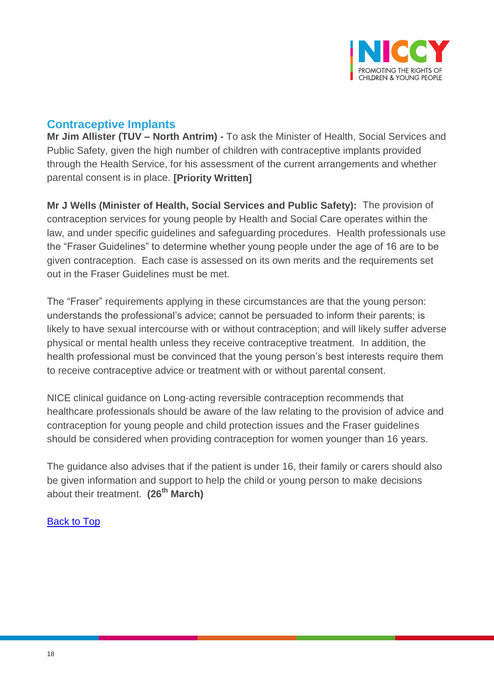

## <span id="page-17-0"></span>**Contraceptive Implants**

**Mr Jim Allister (TUV – North Antrim) -** To ask the Minister of Health, Social Services and Public Safety, given the high number of children with contraceptive implants provided through the Health Service, for his assessment of the current arrangements and whether parental consent is in place. **[Priority Written]**

**Mr J Wells (Minister of Health, Social Services and Public Safety):** The provision of contraception services for young people by Health and Social Care operates within the law, and under specific guidelines and safeguarding procedures. Health professionals use the "Fraser Guidelines" to determine whether young people under the age of 16 are to be given contraception. Each case is assessed on its own merits and the requirements set out in the Fraser Guidelines must be met.

The "Fraser" requirements applying in these circumstances are that the young person: understands the professional's advice; cannot be persuaded to inform their parents; is likely to have sexual intercourse with or without contraception; and will likely suffer adverse physical or mental health unless they receive contraceptive treatment. In addition, the health professional must be convinced that the young person's best interests require them to receive contraceptive advice or treatment with or without parental consent.

NICE clinical guidance on Long-acting reversible contraception recommends that healthcare professionals should be aware of the law relating to the provision of advice and contraception for young people and child protection issues and the Fraser guidelines should be considered when providing contraception for women younger than 16 years.

The guidance also advises that if the patient is under 16, their family or carers should also be given information and support to help the child or young person to make decisions about their treatment. **(26th March)**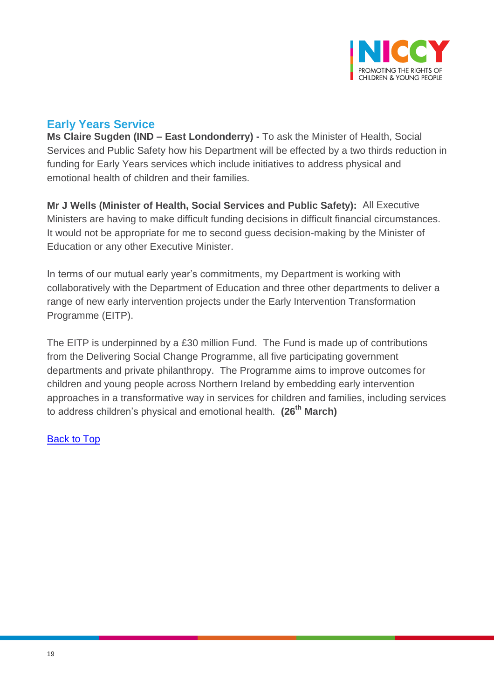

# <span id="page-18-0"></span>**Early Years Service**

**Ms Claire Sugden (IND – East Londonderry) -** To ask the Minister of Health, Social Services and Public Safety how his Department will be effected by a two thirds reduction in funding for Early Years services which include initiatives to address physical and emotional health of children and their families.

**Mr J Wells (Minister of Health, Social Services and Public Safety):** All Executive Ministers are having to make difficult funding decisions in difficult financial circumstances. It would not be appropriate for me to second guess decision-making by the Minister of Education or any other Executive Minister.

In terms of our mutual early year's commitments, my Department is working with collaboratively with the Department of Education and three other departments to deliver a range of new early intervention projects under the Early Intervention Transformation Programme (EITP).

<span id="page-18-1"></span>The EITP is underpinned by a £30 million Fund. The Fund is made up of contributions from the Delivering Social Change Programme, all five participating government departments and private philanthropy. The Programme aims to improve outcomes for children and young people across Northern Ireland by embedding early intervention approaches in a transformative way in services for children and families, including services to address children's physical and emotional health. **(26th March)**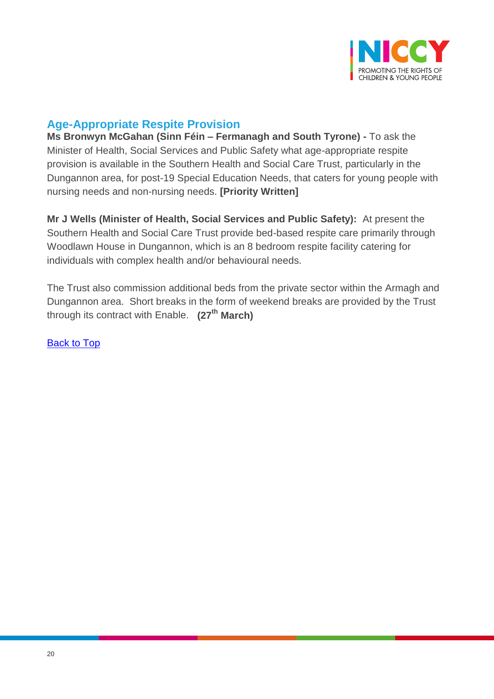

# **Age-Appropriate Respite Provision**

**Ms Bronwyn McGahan (Sinn Féin – Fermanagh and South Tyrone) -** To ask the Minister of Health, Social Services and Public Safety what age-appropriate respite provision is available in the Southern Health and Social Care Trust, particularly in the Dungannon area, for post-19 Special Education Needs, that caters for young people with nursing needs and non-nursing needs. **[Priority Written]**

**Mr J Wells (Minister of Health, Social Services and Public Safety):** At present the Southern Health and Social Care Trust provide bed-based respite care primarily through Woodlawn House in Dungannon, which is an 8 bedroom respite facility catering for individuals with complex health and/or behavioural needs.

The Trust also commission additional beds from the private sector within the Armagh and Dungannon area. Short breaks in the form of weekend breaks are provided by the Trust through its contract with Enable. **(27th March)**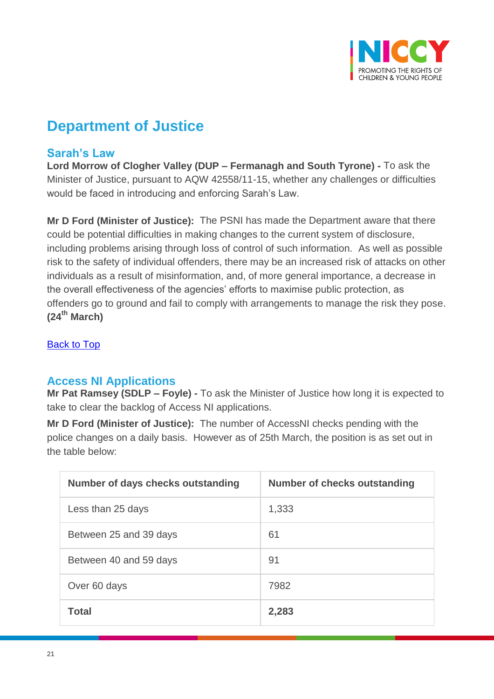

# **Department of Justice**

## <span id="page-20-0"></span>**Sarah's Law**

**Lord Morrow of Clogher Valley (DUP – Fermanagh and South Tyrone) -** To ask the Minister of Justice, pursuant to AQW 42558/11-15, whether any challenges or difficulties would be faced in introducing and enforcing Sarah's Law.

**Mr D Ford (Minister of Justice):** The PSNI has made the Department aware that there could be potential difficulties in making changes to the current system of disclosure, including problems arising through loss of control of such information. As well as possible risk to the safety of individual offenders, there may be an increased risk of attacks on other individuals as a result of misinformation, and, of more general importance, a decrease in the overall effectiveness of the agencies' efforts to maximise public protection, as offenders go to ground and fail to comply with arrangements to manage the risk they pose. **(24th March)**

[Back to Top](#page-0-0)

## <span id="page-20-1"></span>**Access NI Applications**

**Mr Pat Ramsey (SDLP – Foyle) -** To ask the Minister of Justice how long it is expected to take to clear the backlog of Access NI applications.

**Mr D Ford (Minister of Justice):** The number of AccessNI checks pending with the police changes on a daily basis. However as of 25th March, the position is as set out in the table below:

| Number of days checks outstanding | <b>Number of checks outstanding</b> |
|-----------------------------------|-------------------------------------|
| Less than 25 days                 | 1,333                               |
| Between 25 and 39 days            | 61                                  |
| Between 40 and 59 days            | 91                                  |
| Over 60 days                      | 7982                                |
| <b>Total</b>                      | 2,283                               |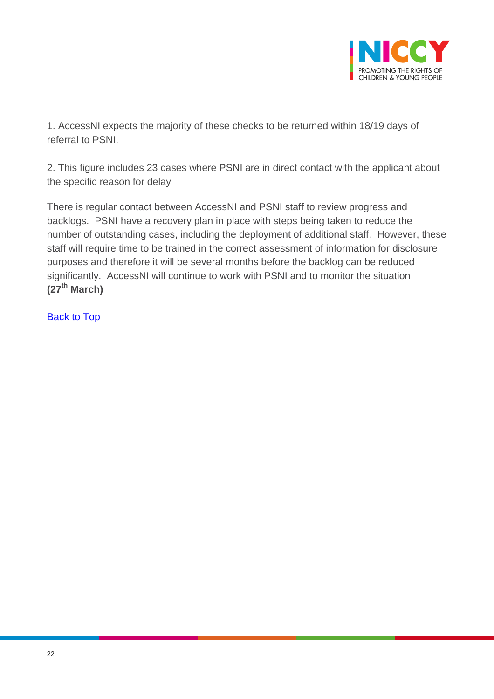

1. AccessNI expects the majority of these checks to be returned within 18/19 days of referral to PSNI.

2. This figure includes 23 cases where PSNI are in direct contact with the applicant about the specific reason for delay

There is regular contact between AccessNI and PSNI staff to review progress and backlogs. PSNI have a recovery plan in place with steps being taken to reduce the number of outstanding cases, including the deployment of additional staff. However, these staff will require time to be trained in the correct assessment of information for disclosure purposes and therefore it will be several months before the backlog can be reduced significantly. AccessNI will continue to work with PSNI and to monitor the situation **(27th March)**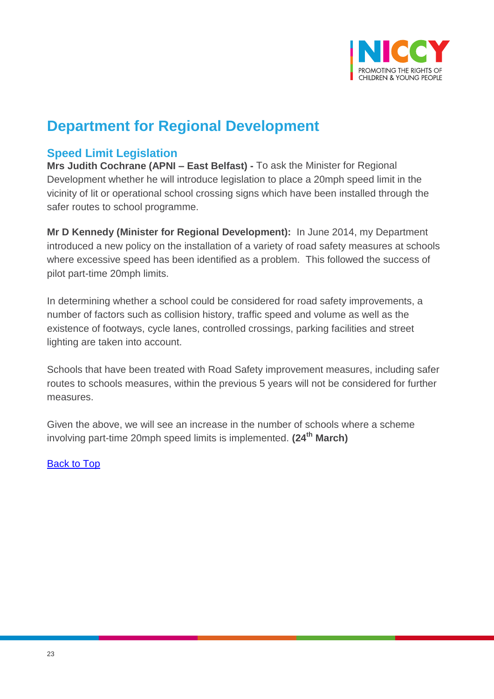

# **Department for Regional Development**

## <span id="page-22-0"></span>**Speed Limit Legislation**

**Mrs Judith Cochrane (APNI – East Belfast) -** To ask the Minister for Regional Development whether he will introduce legislation to place a 20mph speed limit in the vicinity of lit or operational school crossing signs which have been installed through the safer routes to school programme.

**Mr D Kennedy (Minister for Regional Development):** In June 2014, my Department introduced a new policy on the installation of a variety of road safety measures at schools where excessive speed has been identified as a problem. This followed the success of pilot part-time 20mph limits.

In determining whether a school could be considered for road safety improvements, a number of factors such as collision history, traffic speed and volume as well as the existence of footways, cycle lanes, controlled crossings, parking facilities and street lighting are taken into account.

Schools that have been treated with Road Safety improvement measures, including safer routes to schools measures, within the previous 5 years will not be considered for further measures.

Given the above, we will see an increase in the number of schools where a scheme involving part-time 20mph speed limits is implemented. **(24th March)**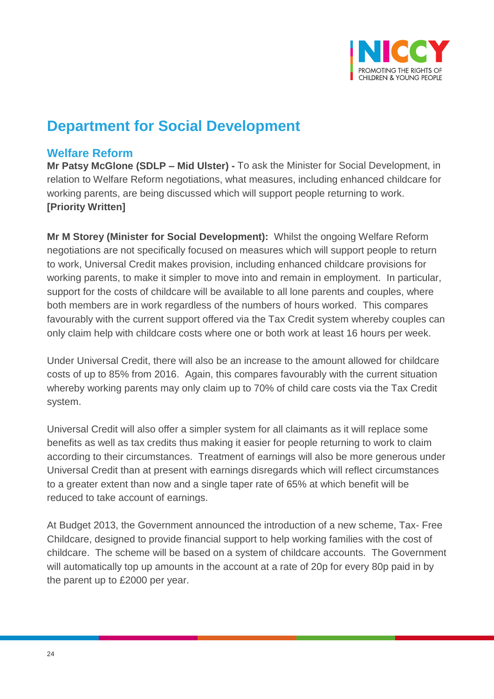

# **Department for Social Development**

## <span id="page-23-0"></span>**Welfare Reform**

**Mr Patsy McGlone (SDLP – Mid Ulster) -** To ask the Minister for Social Development, in relation to Welfare Reform negotiations, what measures, including enhanced childcare for working parents, are being discussed which will support people returning to work. **[Priority Written]**

**Mr M Storey (Minister for Social Development):** Whilst the ongoing Welfare Reform negotiations are not specifically focused on measures which will support people to return to work, Universal Credit makes provision, including enhanced childcare provisions for working parents, to make it simpler to move into and remain in employment. In particular, support for the costs of childcare will be available to all lone parents and couples, where both members are in work regardless of the numbers of hours worked. This compares favourably with the current support offered via the Tax Credit system whereby couples can only claim help with childcare costs where one or both work at least 16 hours per week.

Under Universal Credit, there will also be an increase to the amount allowed for childcare costs of up to 85% from 2016. Again, this compares favourably with the current situation whereby working parents may only claim up to 70% of child care costs via the Tax Credit system.

Universal Credit will also offer a simpler system for all claimants as it will replace some benefits as well as tax credits thus making it easier for people returning to work to claim according to their circumstances. Treatment of earnings will also be more generous under Universal Credit than at present with earnings disregards which will reflect circumstances to a greater extent than now and a single taper rate of 65% at which benefit will be reduced to take account of earnings.

At Budget 2013, the Government announced the introduction of a new scheme, Tax- Free Childcare, designed to provide financial support to help working families with the cost of childcare. The scheme will be based on a system of childcare accounts. The Government will automatically top up amounts in the account at a rate of 20p for every 80p paid in by the parent up to £2000 per year.